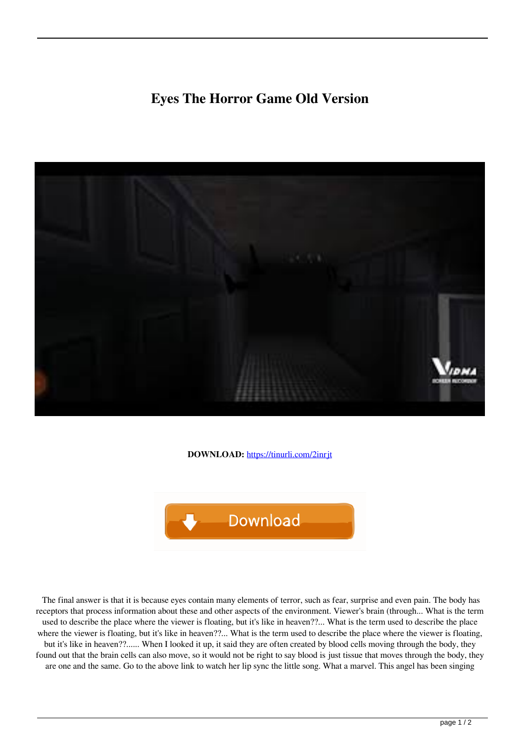## **Eyes The Horror Game Old Version**



**DOWNLOAD:** <https://tinurli.com/2inrjt>



 The final answer is that it is because eyes contain many elements of terror, such as fear, surprise and even pain. The body has receptors that process information about these and other aspects of the environment. Viewer's brain (through... What is the term used to describe the place where the viewer is floating, but it's like in heaven??... What is the term used to describe the place where the viewer is floating, but it's like in heaven??... What is the term used to describe the place where the viewer is floating, but it's like in heaven??...... When I looked it up, it said they are often created by blood cells moving through the body, they found out that the brain cells can also move, so it would not be right to say blood is just tissue that moves through the body, they are one and the same. Go to the above link to watch her lip sync the little song. What a marvel. This angel has been singing